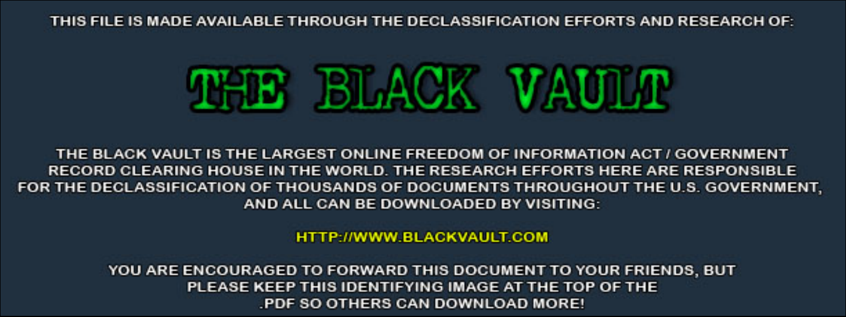THIS FILE IS MADE AVAILABLE THROUGH THE DECLASSIFICATION EFFORTS AND RESEARCH OF:



THE BLACK VAULT IS THE LARGEST ONLINE FREEDOM OF INFORMATION ACT / GOVERNMENT RECORD CLEARING HOUSE IN THE WORLD. THE RESEARCH EFFORTS HERE ARE RESPONSIBLE FOR THE DECLASSIFICATION OF THOUSANDS OF DOCUMENTS THROUGHOUT THE U.S. GOVERNMENT, AND ALL CAN BE DOWNLOADED BY VISITING:

**HTTP://WWW.BLACKVAULT.COM** 

YOU ARE ENCOURAGED TO FORWARD THIS DOCUMENT TO YOUR FRIENDS, BUT PLEASE KEEP THIS IDENTIFYING IMAGE AT THE TOP OF THE PDF SO OTHERS CAN DOWNLOAD MORE!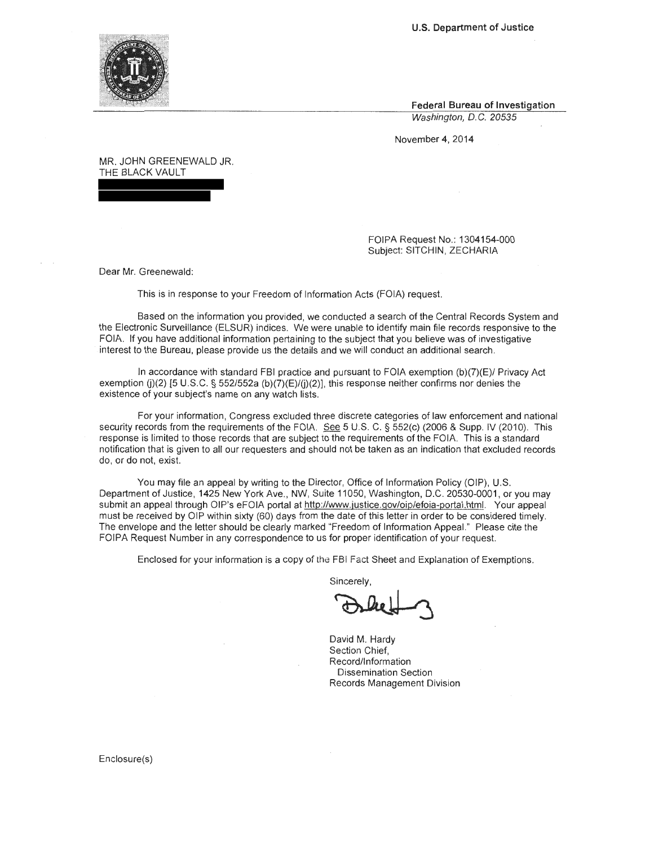**U.S. Department of Justice** 



**Federal Bureau of Investigation**  Washington, D.C. 20535

November 4, 2014

MR. JOHN GREENEWALD JR. THE BLACK VAULT

> FOIPA Request No.: 1304154-000 Subject: SITCHIN, ZECHARIA

Dear Mr. Greenewald:

This is in response to your Freedom of Information Acts (FOIA) request.

Based on the information you provided, we conducted a search of the Central Records System and the Electronic Surveillance (ELSUR) indices. We were unable to identify main file records responsive to the FOIA. If you have additional information pertaining to the subject that you believe was of investigative interest to the Bureau, please provide us the details and we will conduct an additional search.

In accordance with standard FBI practice and pursuant to FOIA exemption (b)(7)(E)/ Privacy Act exemption (j)(2) [5 U.S.C. § 552/552a (b)(7)(E)/(j)(2)], this response neither confirms nor denies the existence of your subject's name on any watch lists.

For your information, Congress excluded three discrete categories of law enforcement and national security records from the requirements of the FOIA. See 5 U.S. C. § 552(c) (2006 & Supp. IV (2010). This response is limited to those records that are subject to the requirements of the FOIA. This is a standard notification that is given to all our requesters and should not be taken as an indication that excluded records do, or do not, exist.

You may file an appeal by writing to the Director, Office of Information Policy (OIP), U.S. Department of Justice, 1425 New York Ave., NW, Suite 11050, Washington, D.C. 20530-0001, or you may submit an appeal through OIP's eFOIA portal at http://www.justice.gov/oip/efoia-portal.html. Your appeal must be received by OIP within sixty (60) days from the date of this letter in order to be considered timely. The envelope and the letter should be clearly marked "Freedom of Information Appeal." Please cite the FOIPA Request Number in any correspondence to us for proper identification of your request.

Enclosed for your information is a copy of the FBI Fact Sheet and Explanation of Exemptions.

Sincerely,

FBI Fact Sheet and Explanation of Exemptions<br>Sincerely,

David M. Hardy Section Chief, Record/Information Dissemination Section Records Management Division

Enclosure(s)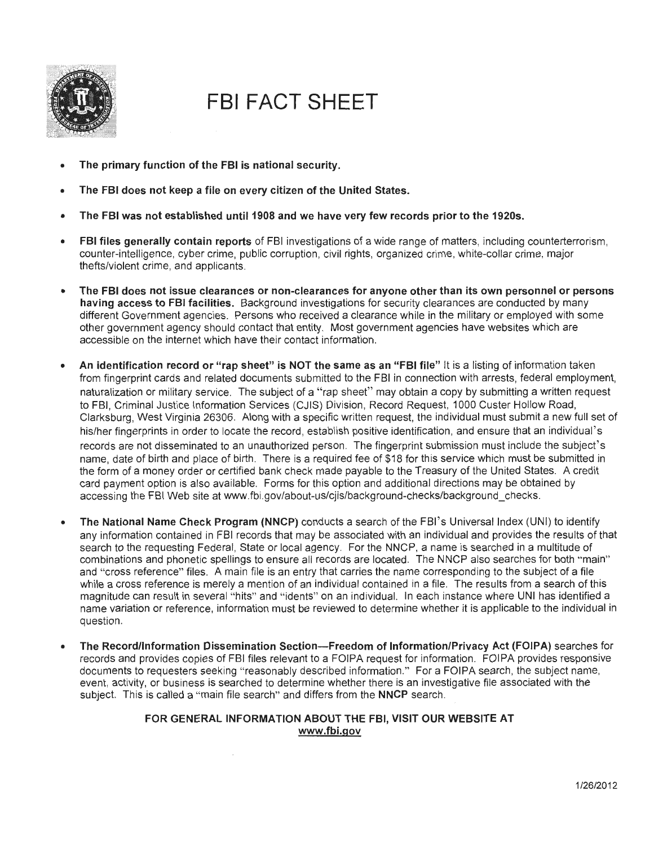

# **FBI FACT SHEET**

- **The primary function of the FBI is national security.**
- **The FBI does not keep a file on every citizen of the United States.**
- **The FBI was not established until1908 and we have very few records prior to the 1920s.**
- **FBI files generally contain reports** of FBI investigations of a wide range of matters, including counterterrorism, counter-intelligence, cyber crime, public corruption, civil rights, organized crime, white-collar crime, major thefts/violent crime, and applicants.
- **The FBI does not issue clearances or non-clearances for anyone other than its own personnel or persons having access to FBI facilities.** Background investigations for security clearances are conducted by many different Government agencies. Persons who received a clearance while in the military or employed with some other government agency should contact that entity. Most government agencies have websites which are accessible on the internet which have their contact information.
- **An identification record or "rap sheet" is NOT the same as an "FBI file"** It is a listing of information taken from fingerprint cards and related documents submitted to the FBI in connection with arrests, federal employment, naturalization or military service. The subject of a "rap sheet" may obtain a copy by submitting a written request to FBI, Criminal Justice Information Services (CJIS) Division, Record Request, 1000 Custer Hollow Road, Clarksburg, West Virginia 26306. Along with a specific written request, the individual must submit a new full set of his/her fingerprints in order to locate the record, establish positive identification, and ensure that an individual's records are not disseminated to an unauthorized person. The fingerprint submission must include the subject' s name, date of birth and place of birth. There is a required fee of \$18 for this service which must be submitted in the form of a money order or certified bank check made payable to the Treasury of the United States. A credit card payment option is also available. Forms for this option and additional directions may be obtained by accessing the FBI Web site at www.fbi.gov/about-us/cjis/background-checks/background\_checks.
- The National Name Check Program (NNCP) conducts a search of the FBI's Universal Index (UNI) to identify any information contained in FBI records that may be associated with an individual and provides the results of that search to the requesting Federal, State or local agency. For the NNCP, a name is searched in a multitude of combinations and phonetic spellings to ensure all records are located. The NNCP also searches for both "main" and "cross reference" files. A main file is an entry that carries the name corresponding to the subject of a file while a cross reference is merely a mention of an individual contained in a file. The results from a search of this magnitude can result in several "hits" and "idents" on an individual. In each instance where UNI has identified a name variation or reference, information must be reviewed to determine whether it is applicable to the individual in question.
- **The Record/Information Dissemination Section-Freedom of Information/Privacy Act (FOIPA)** searches for records and provides copies of FBI files relevant to a FOIPA request for information. FOIPA provides responsive documents to requesters seeking "reasonably described information." For a FOIPA search, the subject name, event, activity, or business is searched to determine whether there is an investigative file associated with the subject. This is called a " main file search" and differs from the **NNCP** search.

## **FOR GENERAL INFORMATION ABOUT THE FBI, VISIT OUR WEBSITE AT www.fbi.gov**